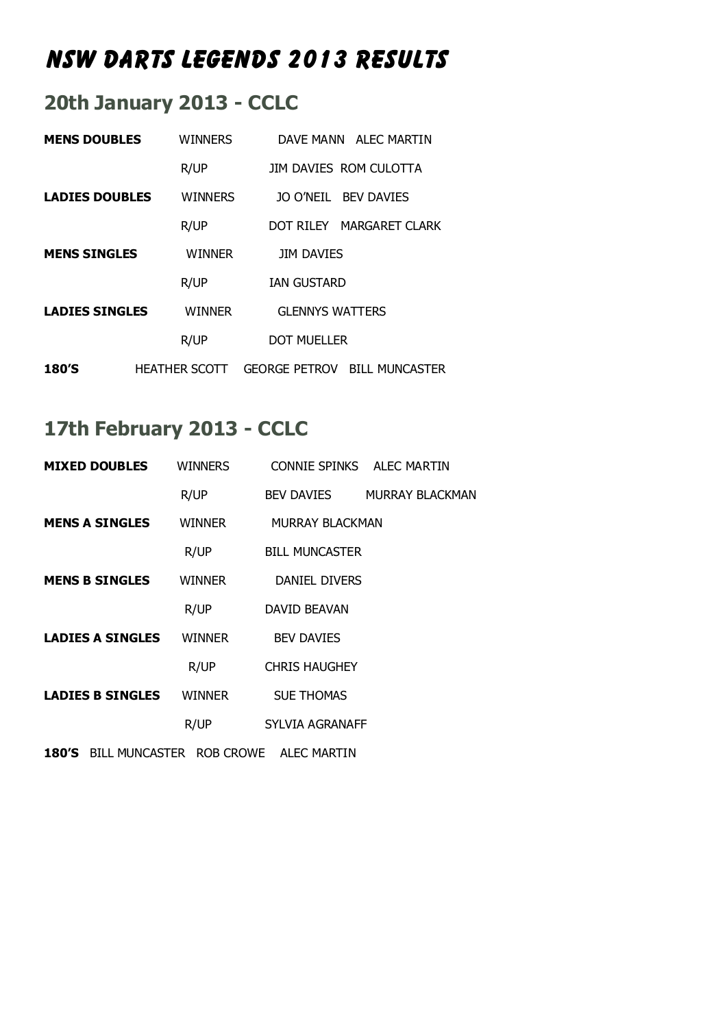# **NSW Darts Legends 2013 Results**

#### **20th January 2013 - CCLC**

| <b>MENS DOUBLES</b>   | <b>WINNERS</b>       | DAVE MANN ALEC MARTIN                         |
|-----------------------|----------------------|-----------------------------------------------|
|                       | R/UP                 | JIM DAVIES ROM CULOTTA                        |
| <b>LADIES DOUBLES</b> | <b>WINNERS</b>       | JO O'NEIL BEV DAVIES                          |
|                       | R/UP                 | DOT RILEY MARGARET CLARK                      |
| <b>MENS SINGLES</b>   | <b>WINNER</b>        | <b>JIM DAVIES</b>                             |
|                       | R/UP                 | <b><i>IAN GUSTARD</i></b>                     |
| <b>LADIES SINGLES</b> | <b>WINNER</b>        | <b>GLENNYS WATTERS</b>                        |
|                       | R/UP                 | DOT MUFLLER                                   |
| 180'S                 | <b>HEATHER SCOTT</b> | <b>GEORGE PETROV</b><br><b>BILL MUNCASTER</b> |

### **17th February 2013 - CCLC**

| <b>MIXED DOUBLES</b>                       | <b>WINNERS</b> |                        | CONNIE SPINKS ALEC MARTIN  |
|--------------------------------------------|----------------|------------------------|----------------------------|
|                                            | R/UP           |                        | BEV DAVIES MURRAY BLACKMAN |
| <b>MENS A SINGLES</b>                      | WINNER         | <b>MURRAY BLACKMAN</b> |                            |
|                                            | R/UP           | <b>BILL MUNCASTER</b>  |                            |
| <b>MENS B SINGLES</b>                      | <b>WINNER</b>  | <b>DANIEL DIVERS</b>   |                            |
|                                            | R/UP           | DAVID BEAVAN           |                            |
| <b>LADIES A SINGLES</b>                    | <b>WINNER</b>  | <b>BEV DAVIES</b>      |                            |
|                                            | R/UP           | <b>CHRIS HAUGHEY</b>   |                            |
| <b>LADIES B SINGLES</b>                    | <b>WINNER</b>  | <b>SUE THOMAS</b>      |                            |
|                                            | R/UP           | <b>SYLVIA AGRANAFF</b> |                            |
| 180'S BILL MUNCASTER ROB CROWE ALEC MARTIN |                |                        |                            |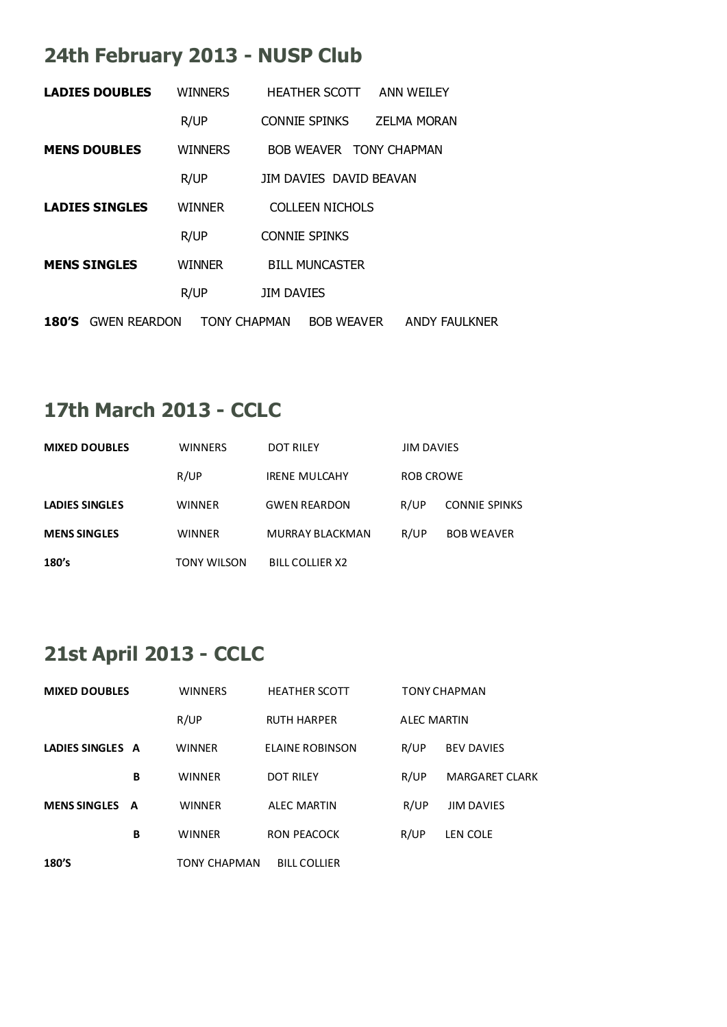### **24th February 2013 - NUSP Club**

|       | <b>LADIES DOUBLES</b> | <b>WINNERS</b>      | <b>HEATHER SCOTT</b>    |                        | ANN WEILEY              |  |
|-------|-----------------------|---------------------|-------------------------|------------------------|-------------------------|--|
|       |                       | R/UP                | <b>CONNIE SPINKS</b>    |                        | <b>ZELMA MORAN</b>      |  |
|       | <b>MENS DOUBLES</b>   | <b>WINNERS</b>      |                         |                        | BOB WEAVER TONY CHAPMAN |  |
|       |                       | R/UP                | JIM DAVIES DAVID BEAVAN |                        |                         |  |
|       | <b>LADIES SINGLES</b> | <b>WINNER</b>       |                         | <b>COLLEEN NICHOLS</b> |                         |  |
|       |                       | R/UP                | <b>CONNIE SPINKS</b>    |                        |                         |  |
|       | <b>MENS SINGLES</b>   | <b>WINNER</b>       | <b>BILL MUNCASTER</b>   |                        |                         |  |
|       |                       | R/UP                | <b>JIM DAVIES</b>       |                        |                         |  |
| 180′S | <b>GWEN REARDON</b>   | <b>TONY CHAPMAN</b> |                         | <b>BOB WEAVER</b>      | <b>ANDY FAULKNER</b>    |  |

## **17th March 2013 - CCLC**

| <b>MIXED DOUBLES</b>  | <b>WINNERS</b> | DOT RILEY              | <b>JIM DAVIES</b> |                      |  |
|-----------------------|----------------|------------------------|-------------------|----------------------|--|
|                       | R/UP           | <b>IRENE MULCAHY</b>   | ROB CROWE         |                      |  |
| <b>LADIES SINGLES</b> | WINNER         | <b>GWEN REARDON</b>    | R/UP              | <b>CONNIE SPINKS</b> |  |
| <b>MENS SINGLES</b>   | <b>WINNER</b>  | <b>MURRAY BLACKMAN</b> | R/UP              | <b>BOB WEAVER</b>    |  |
| 180's                 | TONY WILSON    | <b>BILL COLLIER X2</b> |                   |                      |  |

### **21st April 2013 - CCLC**

| <b>MIXED DOUBLES</b> |   | <b>WINNERS</b> | <b>HEATHER SCOTT</b> |                    | TONY CHAPMAN          |
|----------------------|---|----------------|----------------------|--------------------|-----------------------|
|                      |   | R/UP           | <b>RUTH HARPER</b>   | <b>ALEC MARTIN</b> |                       |
| LADIES SINGLES A     |   | <b>WINNER</b>  | ELAINE ROBINSON      | R/UP               | <b>BEV DAVIES</b>     |
|                      | в | <b>WINNER</b>  | <b>DOT RILEY</b>     | R/UP               | <b>MARGARET CLARK</b> |
| <b>MENS SINGLES</b>  | A | <b>WINNER</b>  | <b>ALEC MARTIN</b>   | R/UP               | <b>JIM DAVIES</b>     |
|                      | В | <b>WINNER</b>  | RON PEACOCK          | R/UP               | LEN COLE              |
| 180'S                |   | TONY CHAPMAN   | <b>BILL COLLIER</b>  |                    |                       |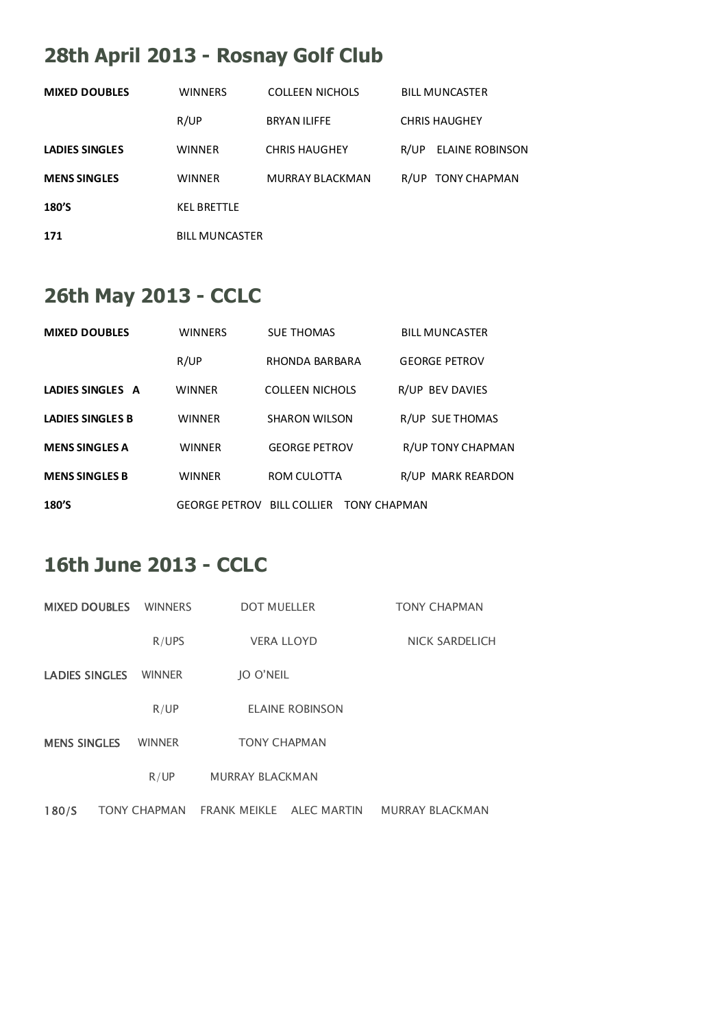# **28th April 2013 - Rosnay Golf Club**

| <b>MIXED DOUBLES</b>  | <b>WINNERS</b>        | <b>COLLEEN NICHOLS</b> |      | <b>BILL MUNCASTER</b> |
|-----------------------|-----------------------|------------------------|------|-----------------------|
|                       | R/UP                  | <b>BRYAN ILIFFE</b>    |      | <b>CHRIS HAUGHEY</b>  |
| <b>LADIES SINGLES</b> | <b>WINNER</b>         | <b>CHRIS HAUGHEY</b>   | R/UP | ELAINE ROBINSON       |
| <b>MENS SINGLES</b>   | WINNER                | <b>MURRAY BLACKMAN</b> |      | R/UP TONY CHAPMAN     |
| 180'S                 | <b>KFL BRETTLE</b>    |                        |      |                       |
| 171                   | <b>BILL MUNCASTER</b> |                        |      |                       |

### **26th May 2013 - CCLC**

| <b>MIXED DOUBLES</b>    | <b>WINNERS</b> | <b>SUE THOMAS</b>                              | <b>BILL MUNCASTER</b> |
|-------------------------|----------------|------------------------------------------------|-----------------------|
|                         | R/UP           | RHONDA BARBARA                                 | <b>GEORGE PETROV</b>  |
| LADIES SINGLES A        | <b>WINNER</b>  | <b>COLLEEN NICHOLS</b>                         | R/UP BEV DAVIES       |
| <b>LADIES SINGLES B</b> | <b>WINNER</b>  | <b>SHARON WILSON</b>                           | R/UP SUE THOMAS       |
| <b>MENS SINGLES A</b>   | <b>WINNER</b>  | <b>GEORGE PETROV</b>                           | R/UP TONY CHAPMAN     |
| <b>MENS SINGLES B</b>   | <b>WINNER</b>  | ROM CULOTTA                                    | R/UP MARK REARDON     |
| 180'S                   |                | <b>GEORGE PETROV BILL COLLIER TONY CHAPMAN</b> |                       |

#### **16th June 2013 - CCLC**

| <b>MIXED DOUBLES</b>  | <b>WINNERS</b>      | <b>DOT MUELLER</b>     |                        | <b>TONY CHAPMAN</b>    |
|-----------------------|---------------------|------------------------|------------------------|------------------------|
|                       | R/UPS               | <b>VERA LLOYD</b>      |                        | <b>NICK SARDELICH</b>  |
| <b>LADIES SINGLES</b> | <b>WINNER</b>       | IO O'NEIL              |                        |                        |
|                       | R/UP                |                        | <b>ELAINE ROBINSON</b> |                        |
| <b>MENS SINGLES</b>   | <b>WINNER</b>       | <b>TONY CHAPMAN</b>    |                        |                        |
|                       | R/UP                | <b>MURRAY BLACKMAN</b> |                        |                        |
| 180/S                 | <b>TONY CHAPMAN</b> | <b>FRANK MEIKLE</b>    | <b>ALEC MARTIN</b>     | <b>MURRAY BLACKMAN</b> |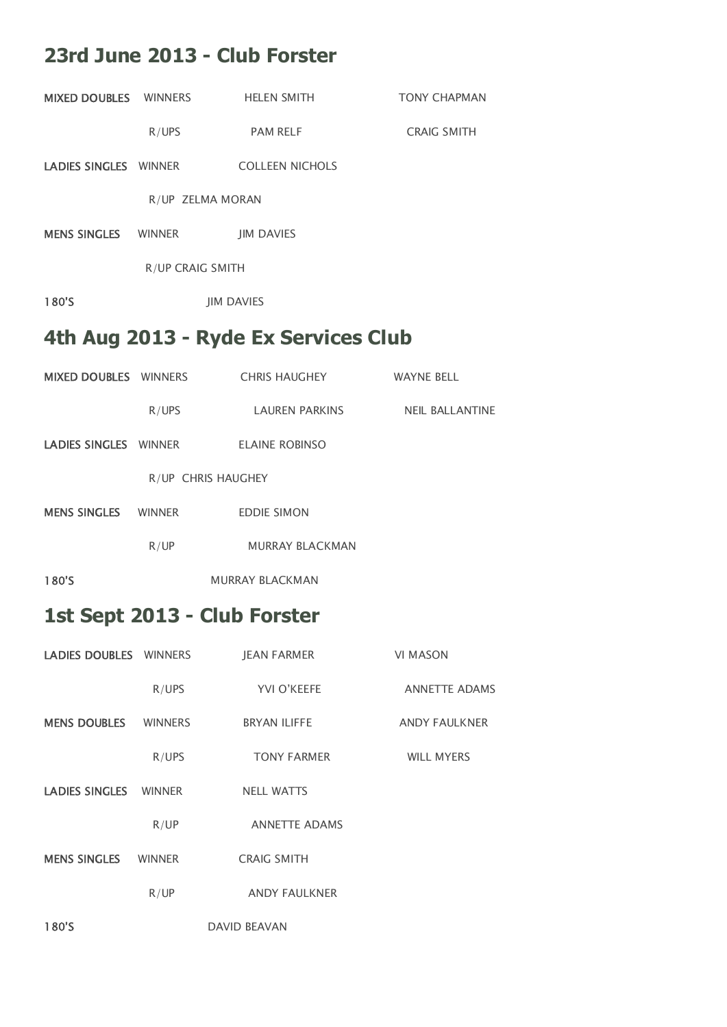#### **23rd June 2013 - Club Forster**

|                             |                         | MIXED DOUBLES WINNERS HELEN SMITH     | <b>TONY CHAPMAN</b>  |
|-----------------------------|-------------------------|---------------------------------------|----------------------|
|                             | R/UPS                   | <b>PAM RELF</b>                       | <b>CRAIG SMITH</b>   |
|                             |                         | LADIES SINGLES WINNER COLLEEN NICHOLS |                      |
|                             |                         | R/UP ZELMA MORAN                      |                      |
|                             |                         | <b>MENS SINGLES</b> WINNER JIM DAVIES |                      |
|                             | <b>R/UP CRAIG SMITH</b> |                                       |                      |
| 180'S                       |                         | <b>JIM DAVIES</b>                     |                      |
|                             |                         | 4th Aug 2013 - Ryde Ex Services Club  |                      |
|                             |                         | MIXED DOUBLES WINNERS CHRIS HAUGHEY   | <b>WAYNE BELL</b>    |
|                             | R/UPS                   | LAUREN PARKINS NEIL BALLANTINE        |                      |
|                             |                         | LADIES SINGLES WINNER ELAINE ROBINSO  |                      |
|                             |                         | R/UP CHRIS HAUGHEY                    |                      |
|                             |                         | MENS SINGLES WINNER EDDIE SIMON       |                      |
|                             | R/UP                    | <b>MURRAY BLACKMAN</b>                |                      |
| 180'S                       |                         | <b>MURRAY BLACKMAN</b>                |                      |
|                             |                         | 1st Sept 2013 - Club Forster          |                      |
| LADIES DOUBLES WINNERS      |                         | JEAN FARMER                           | VI MASON             |
|                             | R/UPS                   | YVI O'KEEFE                           | <b>ANNETTE ADAMS</b> |
| <b>MENS DOUBLES WINNERS</b> |                         | BRYAN ILIFFE                          | <b>ANDY FAULKNER</b> |
|                             | R/UPS                   | <b>TONY FARMER</b>                    | <b>WILL MYERS</b>    |
| LADIES SINGLES WINNER       |                         | <b>NELL WATTS</b>                     |                      |
|                             | R/UP                    | <b>ANNETTE ADAMS</b>                  |                      |
| <b>MENS SINGLES</b>         | <b>WINNER</b>           | <b>CRAIG SMITH</b>                    |                      |
|                             | R/UP                    | ANDY FAULKNER                         |                      |
| 180'S                       |                         | <b>DAVID BEAVAN</b>                   |                      |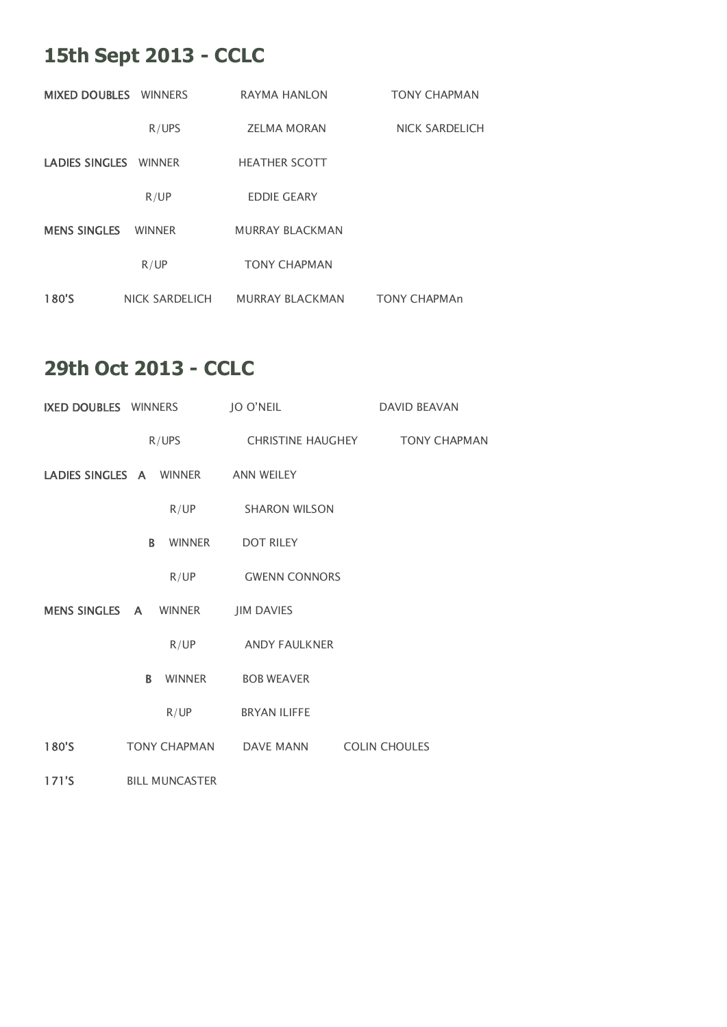## **15th Sept 2013 - CCLC**

| <b>MIXED DOUBLES</b> WINNERS |                       | RAYMA HANLON           | <b>TONY CHAPMAN</b>   |
|------------------------------|-----------------------|------------------------|-----------------------|
|                              | R/UPS                 | <b>ZELMA MORAN</b>     | <b>NICK SARDELICH</b> |
| LADIES SINGLES WINNER        |                       | <b>HEATHER SCOTT</b>   |                       |
|                              | R/UP                  | <b>EDDIE GEARY</b>     |                       |
| <b>MENS SINGLES</b>          | <b>WINNER</b>         | <b>MURRAY BLACKMAN</b> |                       |
|                              | R/UP                  | <b>TONY CHAPMAN</b>    |                       |
| 180'S                        | <b>NICK SARDELICH</b> | <b>MURRAY BLACKMAN</b> | <b>TONY CHAPMAn</b>   |

## **29th Oct 2013 - CCLC**

| <b>IXED DOUBLES</b> WINNERS |                         | <b>JO O'NEIL</b>     | <b>DAVID BEAVAN</b>                   |
|-----------------------------|-------------------------|----------------------|---------------------------------------|
|                             | R/UPS                   |                      | CHRISTINE HAUGHEY <b>TONY CHAPMAN</b> |
|                             | LADIES SINGLES A WINNER | <b>ANN WEILEY</b>    |                                       |
|                             | R/UP                    | <b>SHARON WILSON</b> |                                       |
|                             | B.<br><b>WINNER</b>     | <b>DOT RILEY</b>     |                                       |
|                             | R/UP                    | <b>GWENN CONNORS</b> |                                       |
| MENS SINGLES A              | <b>WINNER</b>           | <b>JIM DAVIES</b>    |                                       |
|                             | R/UP                    | <b>ANDY FAULKNER</b> |                                       |
|                             | <b>WINNER</b><br>B.     | <b>BOB WEAVER</b>    |                                       |
|                             | R/UP                    | <b>BRYAN ILIFFE</b>  |                                       |
| 180'S                       | <b>TONY CHAPMAN</b>     | <b>DAVE MANN</b>     | <b>COLIN CHOULES</b>                  |
| 171'S                       | <b>BILL MUNCASTER</b>   |                      |                                       |